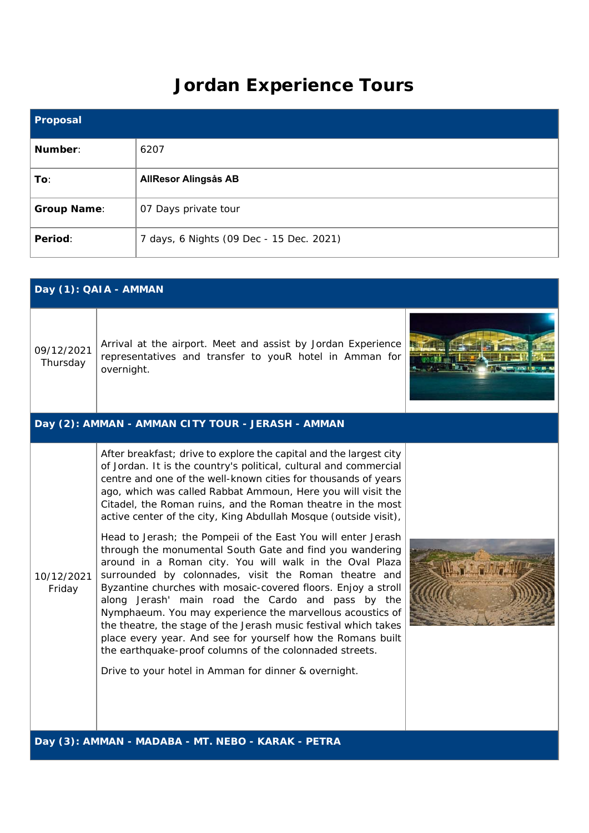## **Jordan Experience Tours**

| <b>Proposal</b>    |                                          |
|--------------------|------------------------------------------|
| Number:            | 6207                                     |
| To:                | <b>AllResor Alingsås AB</b>              |
| <b>Group Name:</b> | 07 Days private tour                     |
| Period:            | 7 days, 6 Nights (09 Dec - 15 Dec. 2021) |

|                        | Day (1): QAIA - AMMAN                                                                                                                                                                                                                                                                                                                                                                                                                                                                                                                                                                                                                                                                                                                                                                                                                                                                                                                                                                                                                                                                                 |  |
|------------------------|-------------------------------------------------------------------------------------------------------------------------------------------------------------------------------------------------------------------------------------------------------------------------------------------------------------------------------------------------------------------------------------------------------------------------------------------------------------------------------------------------------------------------------------------------------------------------------------------------------------------------------------------------------------------------------------------------------------------------------------------------------------------------------------------------------------------------------------------------------------------------------------------------------------------------------------------------------------------------------------------------------------------------------------------------------------------------------------------------------|--|
| 09/12/2021<br>Thursday | Arrival at the airport. Meet and assist by Jordan Experience<br>representatives and transfer to youR hotel in Amman for<br>overnight.                                                                                                                                                                                                                                                                                                                                                                                                                                                                                                                                                                                                                                                                                                                                                                                                                                                                                                                                                                 |  |
|                        | Day (2): AMMAN - AMMAN CITY TOUR - JERASH - AMMAN                                                                                                                                                                                                                                                                                                                                                                                                                                                                                                                                                                                                                                                                                                                                                                                                                                                                                                                                                                                                                                                     |  |
| 10/12/2021<br>Friday   | After breakfast; drive to explore the capital and the largest city<br>of Jordan. It is the country's political, cultural and commercial<br>centre and one of the well-known cities for thousands of years<br>ago, which was called Rabbat Ammoun, Here you will visit the<br>Citadel, the Roman ruins, and the Roman theatre in the most<br>active center of the city, King Abdullah Mosque (outside visit),<br>Head to Jerash; the Pompeii of the East You will enter Jerash<br>through the monumental South Gate and find you wandering<br>around in a Roman city. You will walk in the Oval Plaza<br>surrounded by colonnades, visit the Roman theatre and<br>Byzantine churches with mosaic-covered floors. Enjoy a stroll<br>along Jerash' main road the Cardo and pass by the<br>Nymphaeum. You may experience the marvellous acoustics of<br>the theatre, the stage of the Jerash music festival which takes<br>place every year. And see for yourself how the Romans built<br>the earthquake-proof columns of the colonnaded streets.<br>Drive to your hotel in Amman for dinner & overnight. |  |
|                        | Day (3): AMMAN - MADABA - MT. NEBO - KARAK - PETRA                                                                                                                                                                                                                                                                                                                                                                                                                                                                                                                                                                                                                                                                                                                                                                                                                                                                                                                                                                                                                                                    |  |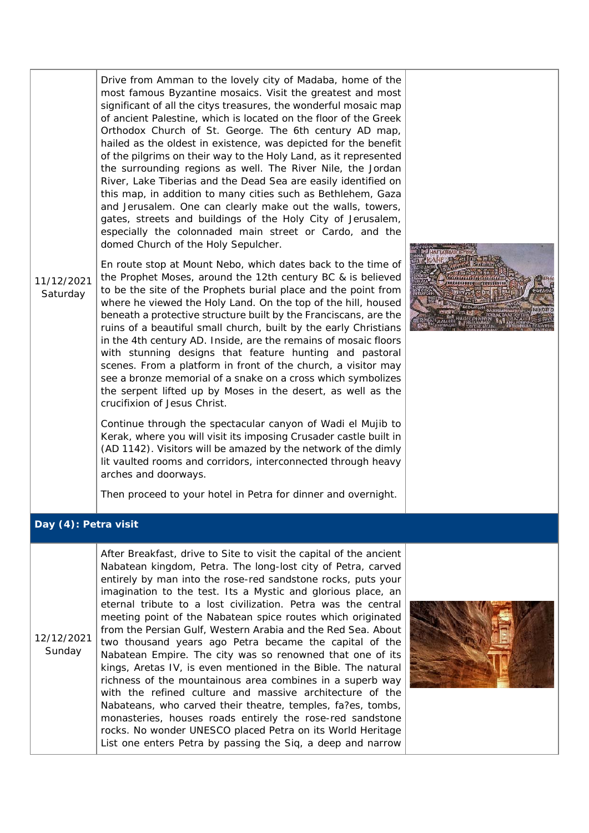Drive from Amman to the lovely city of Madaba, home of the most famous Byzantine mosaics. Visit the greatest and most significant of all the citys treasures, the wonderful mosaic map of ancient Palestine, which is located on the floor of the Greek Orthodox Church of St. George. The 6th century AD map, hailed as the oldest in existence, was depicted for the benefit of the pilgrims on their way to the Holy Land, as it represented the surrounding regions as well. The River Nile, the Jordan River, Lake Tiberias and the Dead Sea are easily identified on this map, in addition to many cities such as Bethlehem, Gaza and Jerusalem. One can clearly make out the walls, towers, gates, streets and buildings of the Holy City of Jerusalem, especially the colonnaded main street or Cardo, and the domed Church of the Holy Sepulcher.

11/12/2021 Saturday En route stop at Mount Nebo, which dates back to the time of the Prophet Moses, around the 12th century BC & is believed to be the site of the Prophets burial place and the point from where he viewed the Holy Land. On the top of the hill, housed beneath a protective structure built by the Franciscans, are the ruins of a beautiful small church, built by the early Christians in the 4th century AD. Inside, are the remains of mosaic floors with stunning designs that feature hunting and pastoral scenes. From a platform in front of the church, a visitor may see a bronze memorial of a snake on a cross which symbolizes the serpent lifted up by Moses in the desert, as well as the crucifixion of Jesus Christ.

> Continue through the spectacular canyon of Wadi el Mujib to Kerak, where you will visit its imposing Crusader castle built in (AD 1142). Visitors will be amazed by the network of the dimly lit vaulted rooms and corridors, interconnected through heavy arches and doorways.

Then proceed to your hotel in Petra for dinner and overnight.



## **Day (4): Petra visit**

12/12/2021 Sunday After Breakfast, drive to Site to visit the capital of the ancient Nabatean kingdom, Petra. The long-lost city of Petra, carved entirely by man into the rose-red sandstone rocks, puts your imagination to the test. Its a Mystic and glorious place, an eternal tribute to a lost civilization. Petra was the central meeting point of the Nabatean spice routes which originated from the Persian Gulf, Western Arabia and the Red Sea. About two thousand years ago Petra became the capital of the Nabatean Empire. The city was so renowned that one of its kings, Aretas IV, is even mentioned in the Bible. The natural richness of the mountainous area combines in a superb way with the refined culture and massive architecture of the Nabateans, who carved their theatre, temples, fa?es, tombs, monasteries, houses roads entirely the rose-red sandstone rocks. No wonder UNESCO placed Petra on its World Heritage List one enters Petra by passing the Siq, a deep and narrow

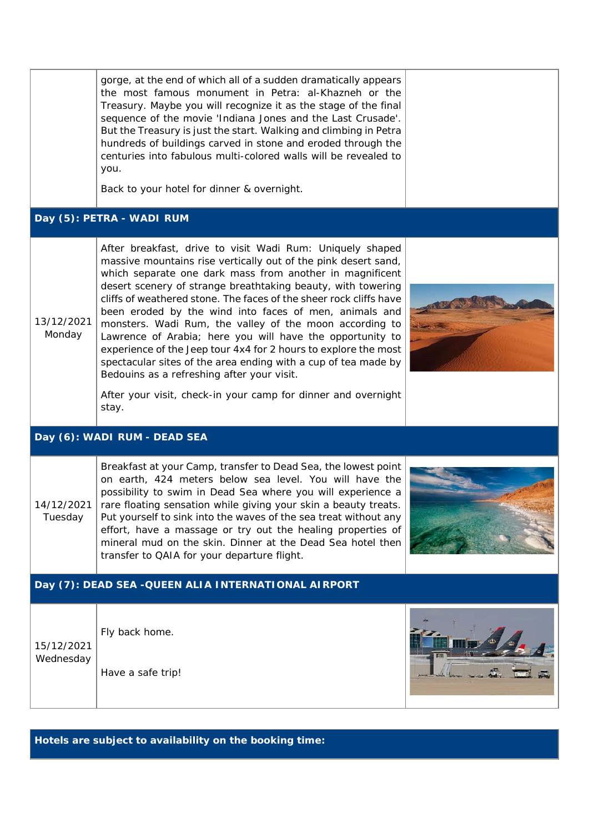|                         | gorge, at the end of which all of a sudden dramatically appears<br>the most famous monument in Petra: al-Khazneh or the<br>Treasury. Maybe you will recognize it as the stage of the final<br>sequence of the movie 'Indiana Jones and the Last Crusade'.<br>But the Treasury is just the start. Walking and climbing in Petra<br>hundreds of buildings carved in stone and eroded through the<br>centuries into fabulous multi-colored walls will be revealed to<br>you.<br>Back to your hotel for dinner & overnight.                                                                                                                                                                                                                                                      |  |
|-------------------------|------------------------------------------------------------------------------------------------------------------------------------------------------------------------------------------------------------------------------------------------------------------------------------------------------------------------------------------------------------------------------------------------------------------------------------------------------------------------------------------------------------------------------------------------------------------------------------------------------------------------------------------------------------------------------------------------------------------------------------------------------------------------------|--|
|                         | Day (5): PETRA - WADI RUM                                                                                                                                                                                                                                                                                                                                                                                                                                                                                                                                                                                                                                                                                                                                                    |  |
| 13/12/2021<br>Monday    | After breakfast, drive to visit Wadi Rum: Uniquely shaped<br>massive mountains rise vertically out of the pink desert sand,<br>which separate one dark mass from another in magnificent<br>desert scenery of strange breathtaking beauty, with towering<br>cliffs of weathered stone. The faces of the sheer rock cliffs have<br>been eroded by the wind into faces of men, animals and<br>monsters. Wadi Rum, the valley of the moon according to<br>Lawrence of Arabia; here you will have the opportunity to<br>experience of the Jeep tour 4x4 for 2 hours to explore the most<br>spectacular sites of the area ending with a cup of tea made by<br>Bedouins as a refreshing after your visit.<br>After your visit, check-in your camp for dinner and overnight<br>stay. |  |
|                         | Day (6): WADI RUM - DEAD SEA                                                                                                                                                                                                                                                                                                                                                                                                                                                                                                                                                                                                                                                                                                                                                 |  |
| 14/12/2021<br>Tuesday   | Breakfast at your Camp, transfer to Dead Sea, the lowest point<br>on earth, 424 meters below sea level. You will have the<br>possibility to swim in Dead Sea where you will experience a<br>rare floating sensation while giving your skin a beauty treats.<br>Put yourself to sink into the waves of the sea treat without any<br>effort, have a massage or try out the healing properties of<br>mineral mud on the skin. Dinner at the Dead Sea hotel then<br>transfer to QAIA for your departure flight.                                                                                                                                                                                                                                                                  |  |
|                         | Day (7): DEAD SEA - QUEEN ALIA INTERNATIONAL AIRPORT                                                                                                                                                                                                                                                                                                                                                                                                                                                                                                                                                                                                                                                                                                                         |  |
| 15/12/2021<br>Wednesday | Fly back home.<br>Have a safe trip!                                                                                                                                                                                                                                                                                                                                                                                                                                                                                                                                                                                                                                                                                                                                          |  |

**Hotels are subject to availability on the booking time:**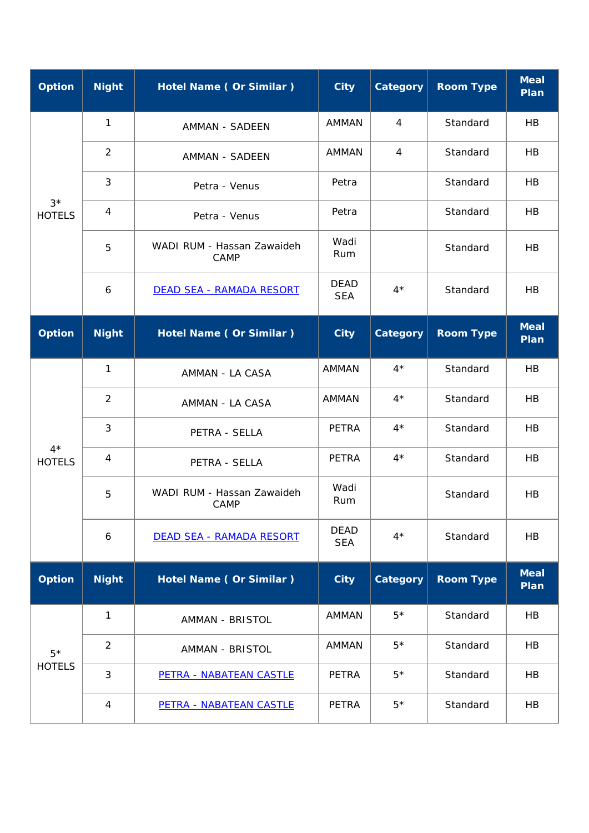| <b>Option</b>          | <b>Night</b>     | Hotel Name (Or Similar)            | <b>City</b>               | Category        | <b>Room Type</b> | <b>Meal</b><br>Plan |
|------------------------|------------------|------------------------------------|---------------------------|-----------------|------------------|---------------------|
|                        | $\mathbf{1}$     | AMMAN - SADEEN                     | AMMAN                     | 4               | Standard         | HB                  |
|                        | $\overline{2}$   | AMMAN - SADEEN                     | <b>AMMAN</b>              | $\overline{4}$  | Standard         | HB                  |
|                        | $\mathfrak{Z}$   | Petra - Venus                      | Petra                     |                 | Standard         | HB                  |
| $3*$<br><b>HOTELS</b>  | $\overline{4}$   | Petra - Venus                      | Petra                     |                 | Standard         | <b>HB</b>           |
|                        | 5                | WADI RUM - Hassan Zawaideh<br>CAMP | Wadi<br>Rum               |                 | Standard         | <b>HB</b>           |
|                        | 6                | DEAD SEA - RAMADA RESORT           | <b>DEAD</b><br><b>SEA</b> | $4^{\star}$     | Standard         | <b>HB</b>           |
| <b>Option</b>          | <b>Night</b>     | Hotel Name (Or Similar)            | <b>City</b>               | <b>Category</b> | <b>Room Type</b> | <b>Meal</b><br>Plan |
|                        | 1                | AMMAN - LA CASA                    | <b>AMMAN</b>              | $4^*$           | Standard         | HB                  |
|                        | 2                | AMMAN - LA CASA                    | AMMAN                     | $4^*$           | Standard         | HB                  |
|                        | 3                | PETRA - SELLA                      | <b>PETRA</b>              | $4^*$           | Standard         | HB                  |
| $4^*$<br><b>HOTELS</b> | $\overline{4}$   | PETRA - SELLA                      | <b>PETRA</b>              | $4*$            | Standard         | HB                  |
|                        | 5                | WADI RUM - Hassan Zawaideh<br>CAMP | Wadi<br>Rum               |                 | Standard         | HB                  |
|                        | $\boldsymbol{6}$ | DEAD SEA - RAMADA RESORT           | <b>DEAD</b><br><b>SEA</b> | $4*$            | Standard         | HB                  |
| <b>Option</b>          | <b>Night</b>     | <b>Hotel Name (Or Similar)</b>     | <b>City</b>               | Category        | <b>Room Type</b> | <b>Meal</b><br>Plan |
|                        | $\mathbf{1}$     | <b>AMMAN - BRISTOL</b>             | <b>AMMAN</b>              | $5*$            | Standard         | HB                  |
| $5*$                   | $\overline{2}$   | AMMAN - BRISTOL                    | <b>AMMAN</b>              | $5*$            | Standard         | HB                  |
| <b>HOTELS</b>          | $\mathfrak{Z}$   | PETRA - NABATEAN CASTLE            | <b>PETRA</b>              | $5*$            | Standard         | HB                  |
|                        | $\overline{4}$   | PETRA - NABATEAN CASTLE            | <b>PETRA</b>              | $5*$            | Standard         | HB                  |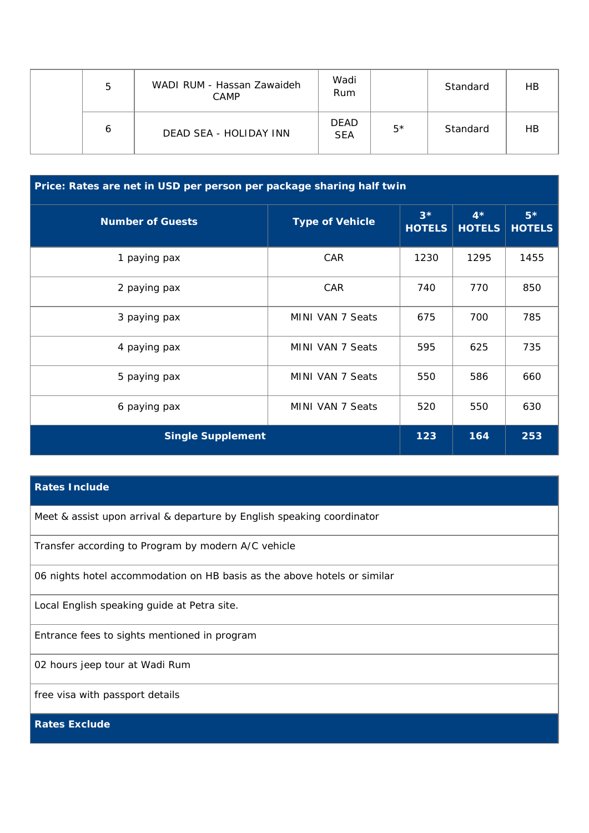| 5 | WADI RUM - Hassan Zawaideh<br>CAMP | Wadi<br>Rum               |      | Standard | НB |
|---|------------------------------------|---------------------------|------|----------|----|
| 6 | DEAD SEA - HOLIDAY INN             | <b>DEAD</b><br><b>SEA</b> | $5*$ | Standard | НB |

| Price: Rates are net in USD per person per package sharing half twin |                        |                       |                       |                       |
|----------------------------------------------------------------------|------------------------|-----------------------|-----------------------|-----------------------|
| <b>Number of Guests</b>                                              | <b>Type of Vehicle</b> | $3*$<br><b>HOTELS</b> | $4*$<br><b>HOTELS</b> | $5*$<br><b>HOTELS</b> |
| 1 paying pax                                                         | <b>CAR</b>             | 1230                  | 1295                  | 1455                  |
| 2 paying pax                                                         | <b>CAR</b>             | 740                   | 770                   | 850                   |
| 3 paying pax                                                         | MINI VAN 7 Seats       | 675                   | 700                   | 785                   |
| 4 paying pax                                                         | MINI VAN 7 Seats       | 595                   | 625                   | 735                   |
| 5 paying pax                                                         | MINI VAN 7 Seats       | 550                   | 586                   | 660                   |
| 6 paying pax                                                         | MINI VAN 7 Seats       | 520                   | 550                   | 630                   |
| <b>Single Supplement</b>                                             |                        | 123                   | 164                   | 253                   |

## **Rates Include**

Meet & assist upon arrival & departure by English speaking coordinator

Transfer according to Program by modern A/C vehicle

06 nights hotel accommodation on HB basis as the above hotels or similar

Local English speaking guide at Petra site.

Entrance fees to sights mentioned in program

02 hours jeep tour at Wadi Rum

free visa with passport details

**Rates Exclude**